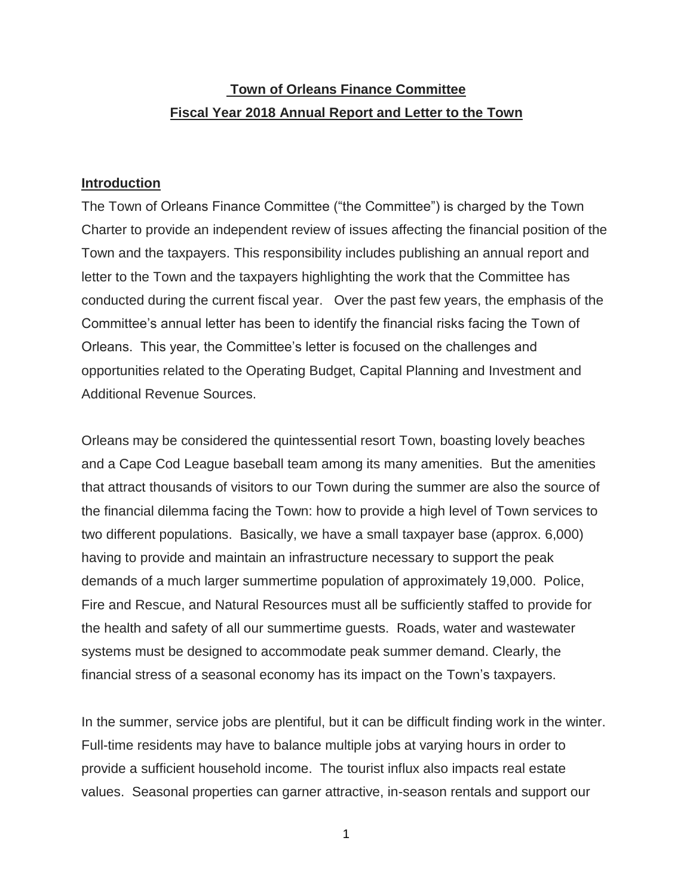# **Town of Orleans Finance Committee Fiscal Year 2018 Annual Report and Letter to the Town**

## **Introduction**

The Town of Orleans Finance Committee ("the Committee") is charged by the Town Charter to provide an independent review of issues affecting the financial position of the Town and the taxpayers. This responsibility includes publishing an annual report and letter to the Town and the taxpayers highlighting the work that the Committee has conducted during the current fiscal year. Over the past few years, the emphasis of the Committee's annual letter has been to identify the financial risks facing the Town of Orleans. This year, the Committee's letter is focused on the challenges and opportunities related to the Operating Budget, Capital Planning and Investment and Additional Revenue Sources.

Orleans may be considered the quintessential resort Town, boasting lovely beaches and a Cape Cod League baseball team among its many amenities. But the amenities that attract thousands of visitors to our Town during the summer are also the source of the financial dilemma facing the Town: how to provide a high level of Town services to two different populations. Basically, we have a small taxpayer base (approx. 6,000) having to provide and maintain an infrastructure necessary to support the peak demands of a much larger summertime population of approximately 19,000. Police, Fire and Rescue, and Natural Resources must all be sufficiently staffed to provide for the health and safety of all our summertime guests. Roads, water and wastewater systems must be designed to accommodate peak summer demand. Clearly, the financial stress of a seasonal economy has its impact on the Town's taxpayers.

In the summer, service jobs are plentiful, but it can be difficult finding work in the winter. Full-time residents may have to balance multiple jobs at varying hours in order to provide a sufficient household income. The tourist influx also impacts real estate values. Seasonal properties can garner attractive, in-season rentals and support our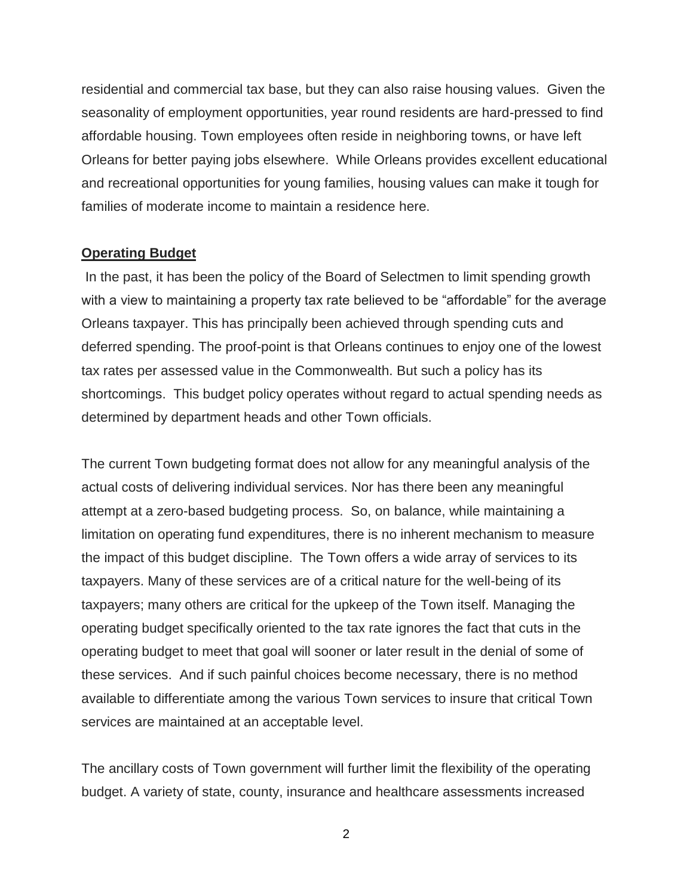residential and commercial tax base, but they can also raise housing values. Given the seasonality of employment opportunities, year round residents are hard-pressed to find affordable housing. Town employees often reside in neighboring towns, or have left Orleans for better paying jobs elsewhere. While Orleans provides excellent educational and recreational opportunities for young families, housing values can make it tough for families of moderate income to maintain a residence here.

#### **Operating Budget**

In the past, it has been the policy of the Board of Selectmen to limit spending growth with a view to maintaining a property tax rate believed to be "affordable" for the average Orleans taxpayer. This has principally been achieved through spending cuts and deferred spending. The proof-point is that Orleans continues to enjoy one of the lowest tax rates per assessed value in the Commonwealth. But such a policy has its shortcomings. This budget policy operates without regard to actual spending needs as determined by department heads and other Town officials.

The current Town budgeting format does not allow for any meaningful analysis of the actual costs of delivering individual services. Nor has there been any meaningful attempt at a zero-based budgeting process. So, on balance, while maintaining a limitation on operating fund expenditures, there is no inherent mechanism to measure the impact of this budget discipline. The Town offers a wide array of services to its taxpayers. Many of these services are of a critical nature for the well-being of its taxpayers; many others are critical for the upkeep of the Town itself. Managing the operating budget specifically oriented to the tax rate ignores the fact that cuts in the operating budget to meet that goal will sooner or later result in the denial of some of these services. And if such painful choices become necessary, there is no method available to differentiate among the various Town services to insure that critical Town services are maintained at an acceptable level.

The ancillary costs of Town government will further limit the flexibility of the operating budget. A variety of state, county, insurance and healthcare assessments increased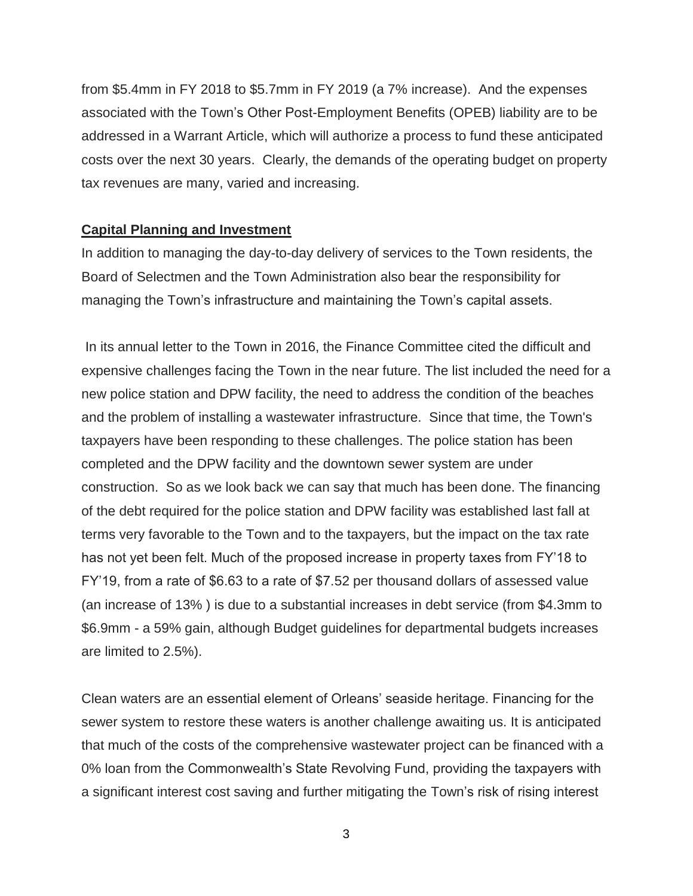from \$5.4mm in FY 2018 to \$5.7mm in FY 2019 (a 7% increase). And the expenses associated with the Town's Other Post-Employment Benefits (OPEB) liability are to be addressed in a Warrant Article, which will authorize a process to fund these anticipated costs over the next 30 years. Clearly, the demands of the operating budget on property tax revenues are many, varied and increasing.

#### **Capital Planning and Investment**

In addition to managing the day-to-day delivery of services to the Town residents, the Board of Selectmen and the Town Administration also bear the responsibility for managing the Town's infrastructure and maintaining the Town's capital assets.

In its annual letter to the Town in 2016, the Finance Committee cited the difficult and expensive challenges facing the Town in the near future. The list included the need for a new police station and DPW facility, the need to address the condition of the beaches and the problem of installing a wastewater infrastructure. Since that time, the Town's taxpayers have been responding to these challenges. The police station has been completed and the DPW facility and the downtown sewer system are under construction. So as we look back we can say that much has been done. The financing of the debt required for the police station and DPW facility was established last fall at terms very favorable to the Town and to the taxpayers, but the impact on the tax rate has not yet been felt. Much of the proposed increase in property taxes from FY'18 to FY'19, from a rate of \$6.63 to a rate of \$7.52 per thousand dollars of assessed value (an increase of 13% ) is due to a substantial increases in debt service (from \$4.3mm to \$6.9mm - a 59% gain, although Budget guidelines for departmental budgets increases are limited to 2.5%).

Clean waters are an essential element of Orleans' seaside heritage. Financing for the sewer system to restore these waters is another challenge awaiting us. It is anticipated that much of the costs of the comprehensive wastewater project can be financed with a 0% loan from the Commonwealth's State Revolving Fund, providing the taxpayers with a significant interest cost saving and further mitigating the Town's risk of rising interest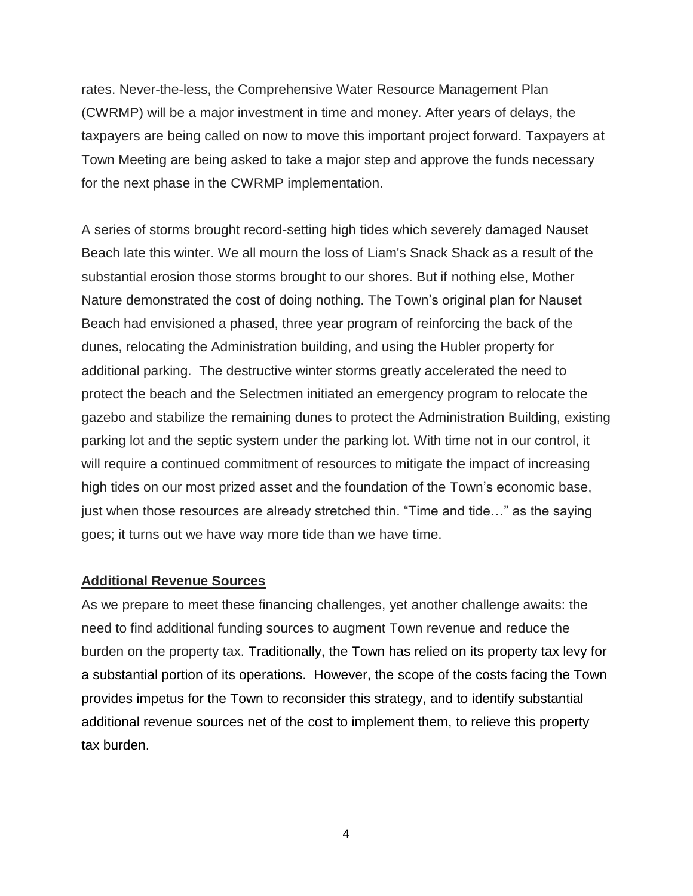rates. Never-the-less, the Comprehensive Water Resource Management Plan (CWRMP) will be a major investment in time and money. After years of delays, the taxpayers are being called on now to move this important project forward. Taxpayers at Town Meeting are being asked to take a major step and approve the funds necessary for the next phase in the CWRMP implementation.

A series of storms brought record-setting high tides which severely damaged Nauset Beach late this winter. We all mourn the loss of Liam's Snack Shack as a result of the substantial erosion those storms brought to our shores. But if nothing else, Mother Nature demonstrated the cost of doing nothing. The Town's original plan for Nauset Beach had envisioned a phased, three year program of reinforcing the back of the dunes, relocating the Administration building, and using the Hubler property for additional parking. The destructive winter storms greatly accelerated the need to protect the beach and the Selectmen initiated an emergency program to relocate the gazebo and stabilize the remaining dunes to protect the Administration Building, existing parking lot and the septic system under the parking lot. With time not in our control, it will require a continued commitment of resources to mitigate the impact of increasing high tides on our most prized asset and the foundation of the Town's economic base, just when those resources are already stretched thin. "Time and tide…" as the saying goes; it turns out we have way more tide than we have time.

### **Additional Revenue Sources**

As we prepare to meet these financing challenges, yet another challenge awaits: the need to find additional funding sources to augment Town revenue and reduce the burden on the property tax. Traditionally, the Town has relied on its property tax levy for a substantial portion of its operations. However, the scope of the costs facing the Town provides impetus for the Town to reconsider this strategy, and to identify substantial additional revenue sources net of the cost to implement them, to relieve this property tax burden.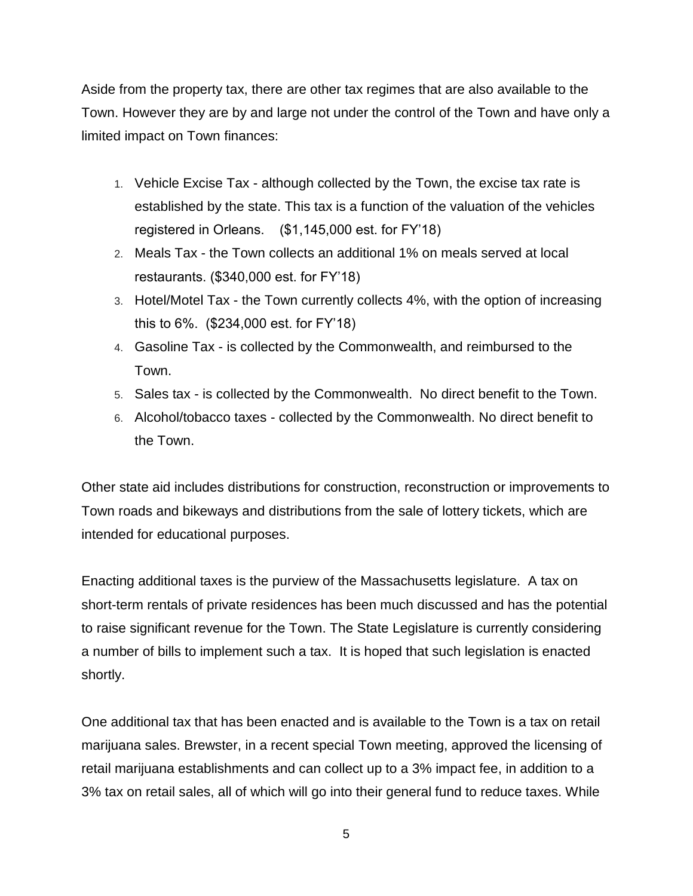Aside from the property tax, there are other tax regimes that are also available to the Town. However they are by and large not under the control of the Town and have only a limited impact on Town finances:

- 1. Vehicle Excise Tax although collected by the Town, the excise tax rate is established by the state. This tax is a function of the valuation of the vehicles registered in Orleans. (\$1,145,000 est. for FY'18)
- 2. Meals Tax the Town collects an additional 1% on meals served at local restaurants. (\$340,000 est. for FY'18)
- 3. Hotel/Motel Tax the Town currently collects 4%, with the option of increasing this to 6%. (\$234,000 est. for FY'18)
- 4. Gasoline Tax is collected by the Commonwealth, and reimbursed to the Town.
- 5. Sales tax is collected by the Commonwealth. No direct benefit to the Town.
- 6. Alcohol/tobacco taxes collected by the Commonwealth. No direct benefit to the Town.

Other state aid includes distributions for construction, reconstruction or improvements to Town roads and bikeways and distributions from the sale of lottery tickets, which are intended for educational purposes.

Enacting additional taxes is the purview of the Massachusetts legislature. A tax on short-term rentals of private residences has been much discussed and has the potential to raise significant revenue for the Town. The State Legislature is currently considering a number of bills to implement such a tax. It is hoped that such legislation is enacted shortly.

One additional tax that has been enacted and is available to the Town is a tax on retail marijuana sales. Brewster, in a recent special Town meeting, approved the licensing of retail marijuana establishments and can collect up to a 3% impact fee, in addition to a 3% tax on retail sales, all of which will go into their general fund to reduce taxes. While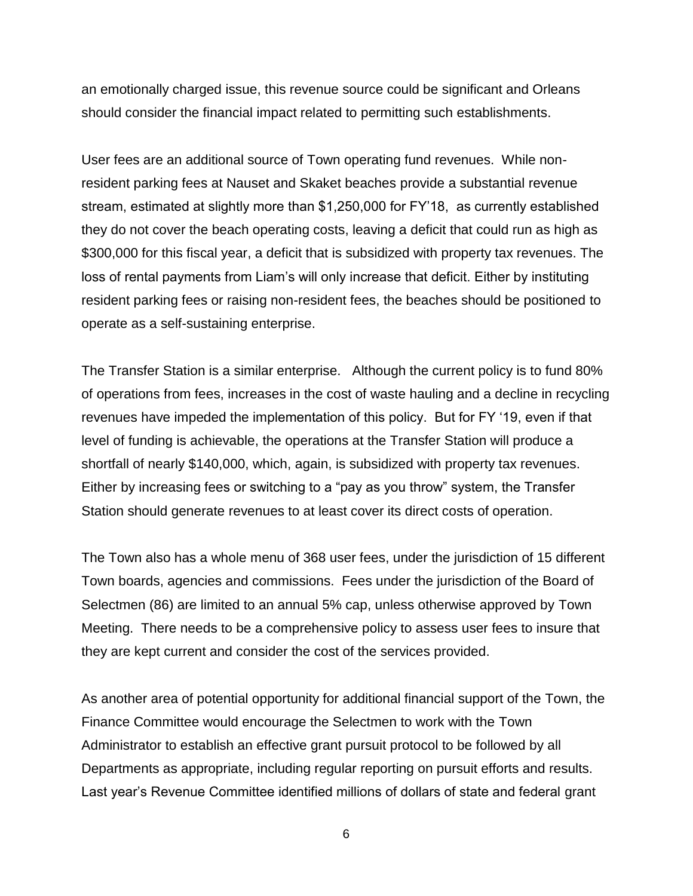an emotionally charged issue, this revenue source could be significant and Orleans should consider the financial impact related to permitting such establishments.

User fees are an additional source of Town operating fund revenues. While nonresident parking fees at Nauset and Skaket beaches provide a substantial revenue stream, estimated at slightly more than \$1,250,000 for FY'18, as currently established they do not cover the beach operating costs, leaving a deficit that could run as high as \$300,000 for this fiscal year, a deficit that is subsidized with property tax revenues. The loss of rental payments from Liam's will only increase that deficit. Either by instituting resident parking fees or raising non-resident fees, the beaches should be positioned to operate as a self-sustaining enterprise.

The Transfer Station is a similar enterprise. Although the current policy is to fund 80% of operations from fees, increases in the cost of waste hauling and a decline in recycling revenues have impeded the implementation of this policy. But for FY '19, even if that level of funding is achievable, the operations at the Transfer Station will produce a shortfall of nearly \$140,000, which, again, is subsidized with property tax revenues. Either by increasing fees or switching to a "pay as you throw" system, the Transfer Station should generate revenues to at least cover its direct costs of operation.

The Town also has a whole menu of 368 user fees, under the jurisdiction of 15 different Town boards, agencies and commissions. Fees under the jurisdiction of the Board of Selectmen (86) are limited to an annual 5% cap, unless otherwise approved by Town Meeting. There needs to be a comprehensive policy to assess user fees to insure that they are kept current and consider the cost of the services provided.

As another area of potential opportunity for additional financial support of the Town, the Finance Committee would encourage the Selectmen to work with the Town Administrator to establish an effective grant pursuit protocol to be followed by all Departments as appropriate, including regular reporting on pursuit efforts and results. Last year's Revenue Committee identified millions of dollars of state and federal grant